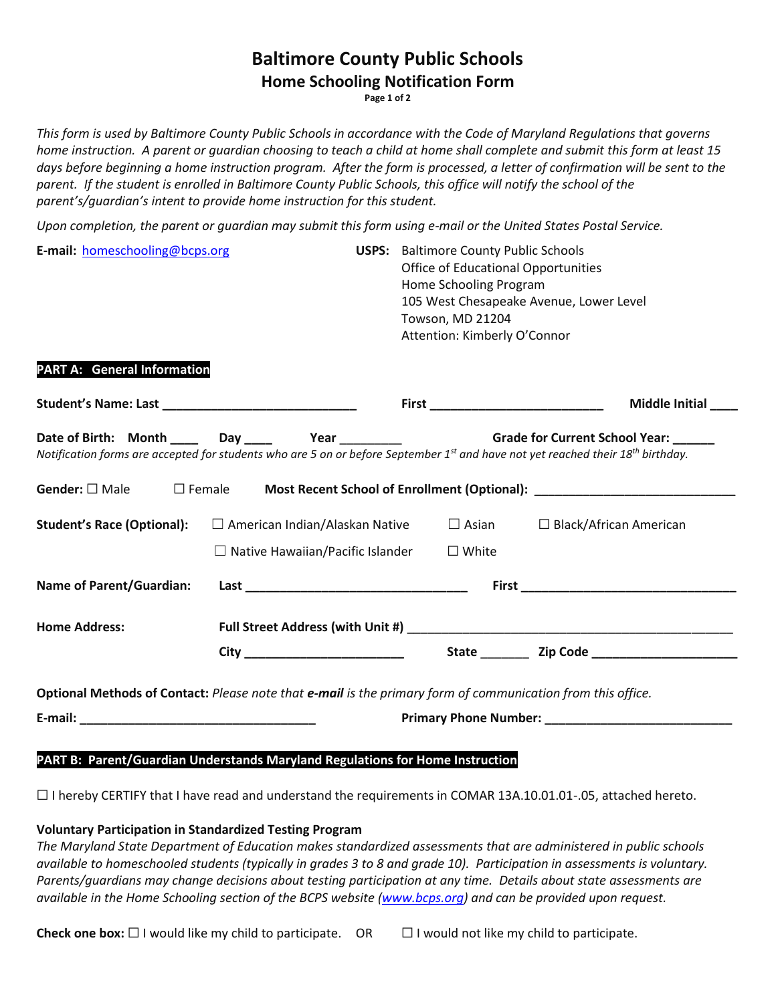## **Baltimore County Public Schools**

### **Home Schooling Notification Form**

**Page 1 of 2**

*This form is used by Baltimore County Public Schools in accordance with the Code of Maryland Regulations that governs home instruction. A parent or guardian choosing to teach a child at home shall complete and submit this form at least 15 days before beginning a home instruction program. After the form is processed, a letter of confirmation will be sent to the*  parent. If the student is enrolled in Baltimore County Public Schools, this office will notify the school of the *parent's/guardian's intent to provide home instruction for this student.*

*Upon completion, the parent or guardian may submit this form using e-mail or the United States Postal Service.*

| E-mail: homeschooling@bcps.org                                                                              |                                         |                                                                                            | <b>USPS:</b> Baltimore County Public Schools<br><b>Office of Educational Opportunities</b> |                                                                                                                                                         |
|-------------------------------------------------------------------------------------------------------------|-----------------------------------------|--------------------------------------------------------------------------------------------|--------------------------------------------------------------------------------------------|---------------------------------------------------------------------------------------------------------------------------------------------------------|
|                                                                                                             |                                         |                                                                                            | Home Schooling Program                                                                     |                                                                                                                                                         |
|                                                                                                             |                                         |                                                                                            |                                                                                            | 105 West Chesapeake Avenue, Lower Level                                                                                                                 |
|                                                                                                             |                                         |                                                                                            | Towson, MD 21204                                                                           |                                                                                                                                                         |
|                                                                                                             |                                         |                                                                                            | Attention: Kimberly O'Connor                                                               |                                                                                                                                                         |
| <b>PART A: General Information</b>                                                                          |                                         |                                                                                            |                                                                                            |                                                                                                                                                         |
|                                                                                                             |                                         |                                                                                            |                                                                                            | <b>Middle Initial</b>                                                                                                                                   |
|                                                                                                             |                                         | Date of Birth: Month _____ Day _____ Year __________ Grade for Current School Year: ______ |                                                                                            |                                                                                                                                                         |
|                                                                                                             |                                         |                                                                                            |                                                                                            | Notification forms are accepted for students who are 5 on or before September 1 <sup>st</sup> and have not yet reached their 18 <sup>th</sup> birthday. |
|                                                                                                             |                                         |                                                                                            |                                                                                            | Gender: $\square$ Male $\square$ Female Most Recent School of Enrollment (Optional): _________________________                                          |
| <b>Student's Race (Optional):</b>                                                                           |                                         | $\Box$ American Indian/Alaskan Native                                                      |                                                                                            | $\Box$ Asian $\Box$ Black/African American                                                                                                              |
|                                                                                                             | $\Box$ Native Hawaiian/Pacific Islander |                                                                                            | $\square$ White                                                                            |                                                                                                                                                         |
| <b>Name of Parent/Guardian:</b>                                                                             |                                         |                                                                                            |                                                                                            |                                                                                                                                                         |
| <b>Home Address:</b>                                                                                        |                                         |                                                                                            |                                                                                            |                                                                                                                                                         |
|                                                                                                             |                                         |                                                                                            |                                                                                            |                                                                                                                                                         |
| Optional Methods of Contact: Please note that e-mail is the primary form of communication from this office. |                                         |                                                                                            |                                                                                            |                                                                                                                                                         |
|                                                                                                             |                                         |                                                                                            |                                                                                            |                                                                                                                                                         |
|                                                                                                             |                                         |                                                                                            |                                                                                            |                                                                                                                                                         |
| PART B: Parent/Guardian Understands Maryland Regulations for Home Instruction                               |                                         |                                                                                            |                                                                                            |                                                                                                                                                         |
|                                                                                                             |                                         |                                                                                            |                                                                                            |                                                                                                                                                         |

☐ I hereby CERTIFY that I have read and understand the requirements in COMAR 13A.10.01.01-.05, attached hereto.

**Voluntary Participation in Standardized Testing Program**

*The Maryland State Department of Education makes standardized assessments that are administered in public schools available to homeschooled students (typically in grades 3 to 8 and grade 10). Participation in assessments is voluntary.*  Parents/guardians may change decisions about testing participation at any time. Details about state assessments are *available in the Home Schooling section of the BCPS website [\(www.bcps.org\)](http://www.bcps.org/) and can be provided upon request.* 

**Check one box:**  $\Box$  I would like my child to participate. OR  $\Box$  I would not like my child to participate.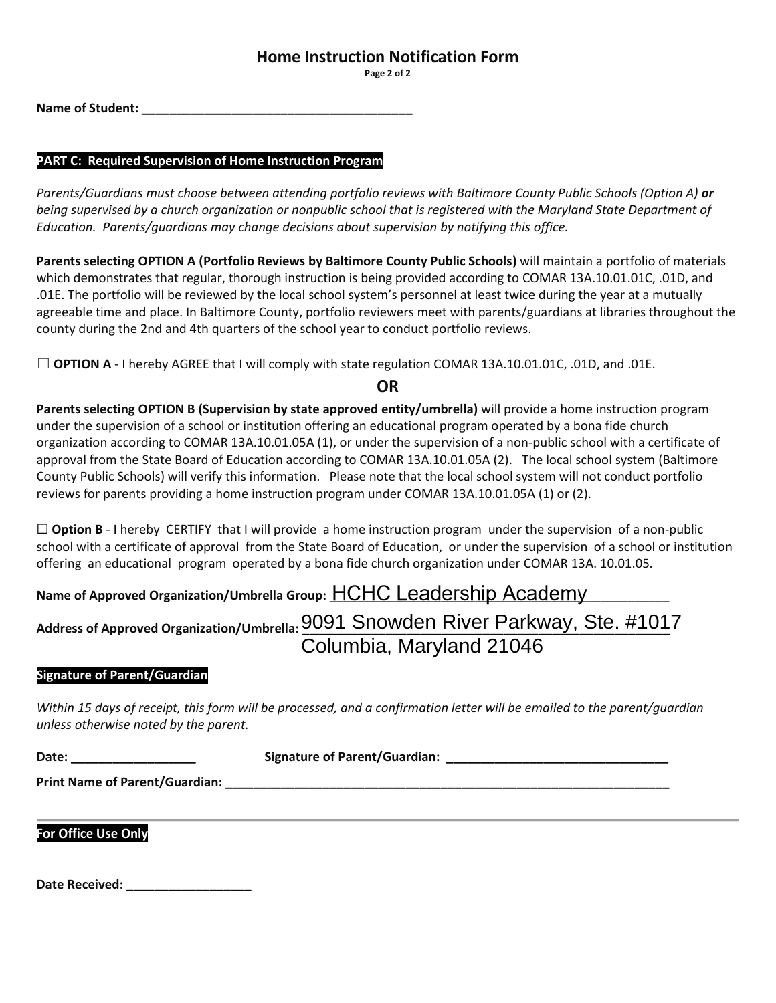### **Home Instruction Notification Form**

**Page 2 of 2**

**Name of Student: \_\_\_\_\_\_\_\_\_\_\_\_\_\_\_\_\_\_\_\_\_\_\_\_\_\_\_\_\_\_\_\_\_\_\_\_\_\_\_**

### **PART C: Required Supervision of Home Instruction Program**

*Parents/Guardians must choose between attending portfolio reviews with Baltimore County Public Schools (Option A) or being supervised by a church organization or nonpublic school that is registered with the Maryland State Department of Education. Parents/guardians may change decisions about supervision by notifying this office.*

**Parents selecting OPTION A (Portfolio Reviews by Baltimore County Public Schools)** will maintain a portfolio of materials which demonstrates that regular, thorough instruction is being provided according to COMAR 13A.10.01.01C, .01D, and .01E. The portfolio will be reviewed by the local school system's personnel at least twice during the year at a mutually agreeable time and place. In Baltimore County, portfolio reviewers meet with parents/guardians at libraries throughout the county during the 2nd and 4th quarters of the school year to conduct portfolio reviews.

☐ **OPTION A** - I hereby AGREE that I will comply with state regulation COMAR 13A.10.01.01C, .01D, and .01E.

**OR**

**Parents selecting OPTION B (Supervision by state approved entity/umbrella)** will provide a home instruction program under the supervision of a school or institution offering an educational program operated by a bona fide church organization according to COMAR 13A.10.01.05A (1), or under the supervision of a non-public school with a certificate of approval from the State Board of Education according to COMAR 13A.10.01.05A (2). The local school system (Baltimore County Public Schools) will verify this information. Please note that the local school system will not conduct portfolio reviews for parents providing a home instruction program under COMAR 13A.10.01.05A (1) or (2).

 $\Box$  **Option B** - I hereby CERTIFY that I will provide a home instruction program under the supervision of a non-public school with a certificate of approval from the State Board of Education, or under the supervision of a school or institution offering an educational program operated by a bona fide church organization under COMAR 13A. 10.01.05.

# Name of Approved Organization/Umbrella Group: HCHC Leadership Academy Address of Approved Organization/Umbrella: **9091 Snowden River Parkway, Ste. #1017** Columbia, Maryland 21046

### **Signature of Parent/Guardian**

*Within 15 days of receipt, this form will be processed, and a confirmation letter will be emailed to the parent/guardian unless otherwise noted by the parent.*

**Date: \_\_\_\_\_\_\_\_\_\_\_\_\_\_\_\_\_\_ Signature of Parent/Guardian: \_\_\_\_\_\_\_\_\_\_\_\_\_\_\_\_\_\_\_\_\_\_\_\_\_\_\_\_\_\_\_\_ Print Name of Parent/Guardian: \_\_\_\_\_\_\_\_\_\_\_\_\_\_\_\_\_\_\_\_\_\_\_\_\_\_\_\_\_\_\_\_\_\_\_\_\_\_\_\_\_\_\_\_\_\_\_\_\_\_\_\_\_\_\_\_\_\_\_\_\_\_\_\_**

**For Office Use Only**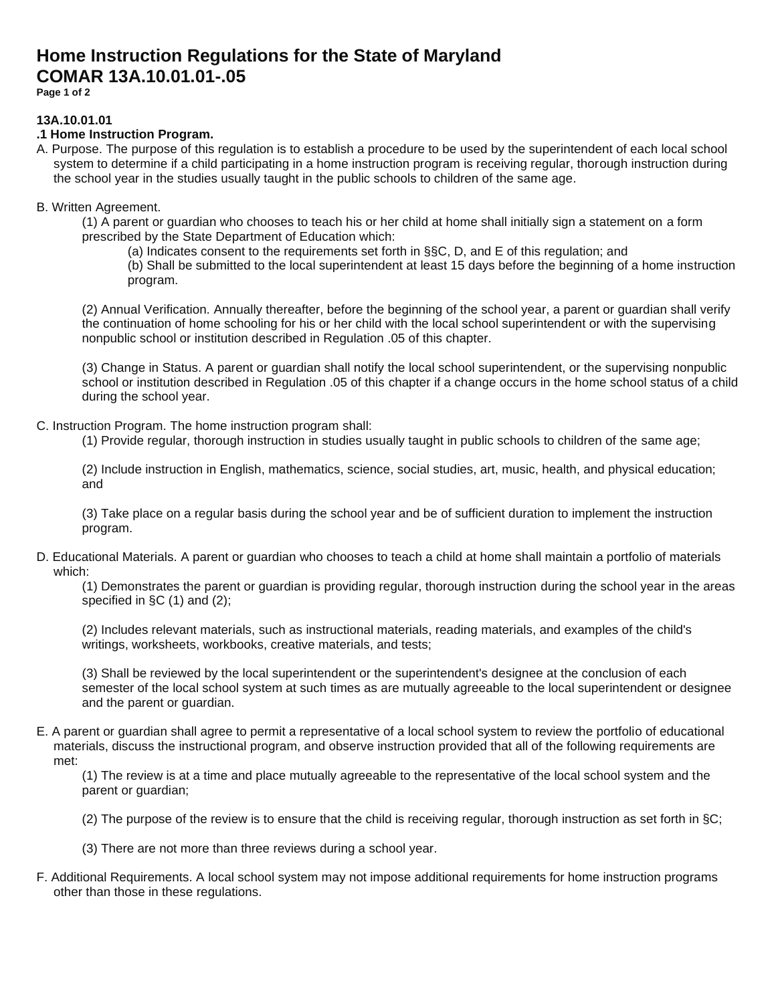## **Home Instruction Regulations for the State of Maryland COMAR 13A.10.01.01-.05**

**Page 1 of 2**

### **13A.10.01.01**

### **.1 Home Instruction Program.**

A. Purpose. The purpose of this regulation is to establish a procedure to be used by the superintendent of each local school system to determine if a child participating in a home instruction program is receiving regular, thorough instruction during the school year in the studies usually taught in the public schools to children of the same age.

### B. Written Agreement.

- (1) A parent or guardian who chooses to teach his or her child at home shall initially sign a statement on a form prescribed by the State Department of Education which:
	- (a) Indicates consent to the requirements set forth in §§C, D, and E of this regulation; and

(b) Shall be submitted to the local superintendent at least 15 days before the beginning of a home instruction program.

(2) Annual Verification. Annually thereafter, before the beginning of the school year, a parent or guardian shall verify the continuation of home schooling for his or her child with the local school superintendent or with the supervising nonpublic school or institution described in Regulation .05 of this chapter.

(3) Change in Status. A parent or guardian shall notify the local school superintendent, or the supervising nonpublic school or institution described in Regulation .05 of this chapter if a change occurs in the home school status of a child during the school year.

C. Instruction Program. The home instruction program shall:

(1) Provide regular, thorough instruction in studies usually taught in public schools to children of the same age;

(2) Include instruction in English, mathematics, science, social studies, art, music, health, and physical education; and

(3) Take place on a regular basis during the school year and be of sufficient duration to implement the instruction program.

D. Educational Materials. A parent or guardian who chooses to teach a child at home shall maintain a portfolio of materials which:

(1) Demonstrates the parent or guardian is providing regular, thorough instruction during the school year in the areas specified in §C (1) and (2);

(2) Includes relevant materials, such as instructional materials, reading materials, and examples of the child's writings, worksheets, workbooks, creative materials, and tests;

(3) Shall be reviewed by the local superintendent or the superintendent's designee at the conclusion of each semester of the local school system at such times as are mutually agreeable to the local superintendent or designee and the parent or guardian.

E. A parent or guardian shall agree to permit a representative of a local school system to review the portfolio of educational materials, discuss the instructional program, and observe instruction provided that all of the following requirements are met:

(1) The review is at a time and place mutually agreeable to the representative of the local school system and the parent or guardian;

- (2) The purpose of the review is to ensure that the child is receiving regular, thorough instruction as set forth in §C;
- (3) There are not more than three reviews during a school year.
- F. Additional Requirements. A local school system may not impose additional requirements for home instruction programs other than those in these regulations.